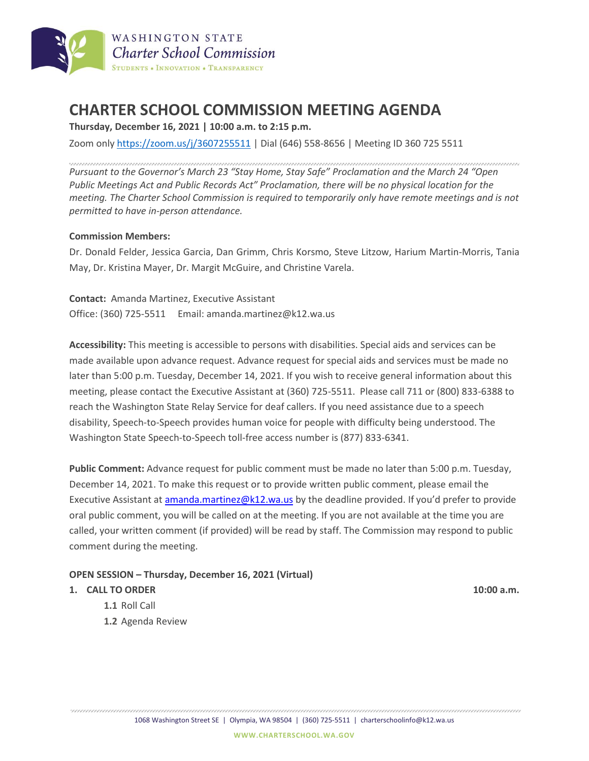

# **CHARTER SCHOOL COMMISSION MEETING AGENDA**

**Thursday, December 16, 2021 | 10:00 a.m. to 2:15 p.m.**

Zoom only <https://zoom.us/j/3607255511> | Dial (646) 558-8656 | Meeting ID 360 725 5511

*Pursuant to the Governor's March 23 "Stay Home, Stay Safe" Proclamation and the March 24 "Open Public Meetings Act and Public Records Act" Proclamation, there will be no physical location for the meeting. The Charter School Commission is required to temporarily only have remote meetings and is not permitted to have in-person attendance.*

#### **Commission Members:**

Dr. Donald Felder, Jessica Garcia, Dan Grimm, Chris Korsmo, Steve Litzow, Harium Martin-Morris, Tania May, Dr. Kristina Mayer, Dr. Margit McGuire, and Christine Varela.

**Contact:** Amanda Martinez, Executive Assistant Office: (360) 725-5511 Email: amanda.martinez@k12.wa.us

**Accessibility:** This meeting is accessible to persons with disabilities. Special aids and services can be made available upon advance request. Advance request for special aids and services must be made no later than 5:00 p.m. Tuesday, December 14, 2021. If you wish to receive general information about this meeting, please contact the Executive Assistant at (360) 725-5511. Please call 711 or (800) 833-6388 to reach the Washington State Relay Service for deaf callers. If you need assistance due to a speech disability, Speech-to-Speech provides human voice for people with difficulty being understood. The Washington State Speech-to-Speech toll-free access number is (877) 833-6341.

**Public Comment:** Advance request for public comment must be made no later than 5:00 p.m. Tuesday, December 14, 2021. To make this request or to provide written public comment, please email the Executive Assistant at [amanda.martinez@k12.wa.us](mailto:amanda.martinez@k12.wa.us) by the deadline provided. If you'd prefer to provide oral public comment, you will be called on at the meeting. If you are not available at the time you are called, your written comment (if provided) will be read by staff. The Commission may respond to public comment during the meeting.

### **OPEN SESSION – Thursday, December 16, 2021 (Virtual)**

#### **1. CALL TO ORDER 10:00 a.m.**

- **1.1** Roll Call
- **1.2** Agenda Review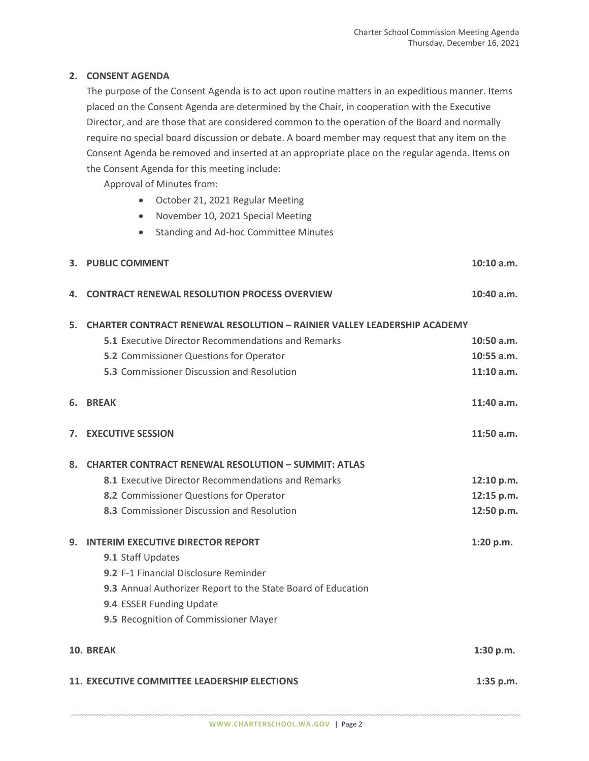## **2. CONSENT AGENDA**

The purpose of the Consent Agenda is to act upon routine matters in an expeditious manner. Items placed on the Consent Agenda are determined by the Chair, in cooperation with the Executive Director, and are those that are considered common to the operation of the Board and normally require no special board discussion or debate. A board member may request that any item on the Consent Agenda be removed and inserted at an appropriate place on the regular agenda. Items on the Consent Agenda for this meeting include:

Approval of Minutes from:

- October 21, 2021 Regular Meeting
- November 10, 2021 Special Meeting
- Standing and Ad-hoc Committee Minutes

|                                              | 3. PUBLIC COMMENT                                                              | $10:10$ a.m. |
|----------------------------------------------|--------------------------------------------------------------------------------|--------------|
| 4.                                           | <b>CONTRACT RENEWAL RESOLUTION PROCESS OVERVIEW</b>                            | 10:40 a.m.   |
| 5.                                           | <b>CHARTER CONTRACT RENEWAL RESOLUTION - RAINIER VALLEY LEADERSHIP ACADEMY</b> |              |
|                                              | <b>5.1</b> Executive Director Recommendations and Remarks                      | $10:50$ a.m. |
|                                              | 5.2 Commissioner Questions for Operator                                        | $10:55$ a.m. |
|                                              | 5.3 Commissioner Discussion and Resolution                                     | 11:10 a.m.   |
| 6.                                           | <b>BRFAK</b>                                                                   | $11:40$ a.m. |
| 7.                                           | <b>EXECUTIVE SESSION</b>                                                       | $11:50$ a.m. |
| 8.                                           | <b>CHARTER CONTRACT RENEWAL RESOLUTION - SUMMIT: ATLAS</b>                     |              |
|                                              | 8.1 Executive Director Recommendations and Remarks                             | 12:10 p.m.   |
|                                              | 8.2 Commissioner Questions for Operator                                        | 12:15 p.m.   |
|                                              | 8.3 Commissioner Discussion and Resolution                                     | 12:50 p.m.   |
| 9.                                           | <b>INTERIM EXECUTIVE DIRECTOR REPORT</b>                                       | 1:20 p.m.    |
|                                              | 9.1 Staff Updates                                                              |              |
|                                              | 9.2 F-1 Financial Disclosure Reminder                                          |              |
|                                              | 9.3 Annual Authorizer Report to the State Board of Education                   |              |
|                                              | 9.4 ESSER Funding Update                                                       |              |
|                                              | 9.5 Recognition of Commissioner Mayer                                          |              |
| 10. BREAK                                    |                                                                                |              |
| 11. EXECUTIVE COMMITTEE LEADERSHIP ELECTIONS |                                                                                |              |